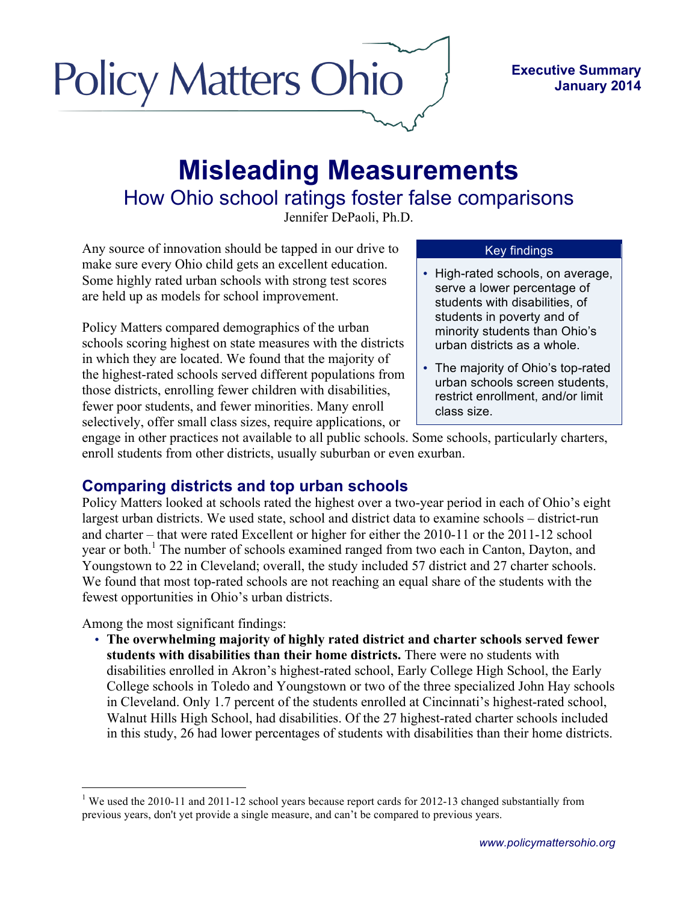# **Policy Matters Ohio**

#### **Executive Summary January 2014**

## **Misleading Measurements** How Ohio school ratings foster false comparisons

Jennifer DePaoli, Ph.D.

Any source of innovation should be tapped in our drive to make sure every Ohio child gets an excellent education. Some highly rated urban schools with strong test scores are held up as models for school improvement.

Policy Matters compared demographics of the urban schools scoring highest on state measures with the districts in which they are located. We found that the majority of the highest-rated schools served different populations from those districts, enrolling fewer children with disabilities, fewer poor students, and fewer minorities. Many enroll selectively, offer small class sizes, require applications, or

### Key findings

- High-rated schools, on average, serve a lower percentage of students with disabilities, of students in poverty and of minority students than Ohio's urban districts as a whole.
- The majority of Ohio's top-rated urban schools screen students, restrict enrollment, and/or limit class size.

engage in other practices not available to all public schools. Some schools, particularly charters, enroll students from other districts, usually suburban or even exurban.

## **Comparing districts and top urban schools**

Policy Matters looked at schools rated the highest over a two-year period in each of Ohio's eight largest urban districts. We used state, school and district data to examine schools – district-run and charter – that were rated Excellent or higher for either the 2010-11 or the 2011-12 school year or both.<sup>1</sup> The number of schools examined ranged from two each in Canton, Dayton, and Youngstown to 22 in Cleveland; overall, the study included 57 district and 27 charter schools. We found that most top-rated schools are not reaching an equal share of the students with the fewest opportunities in Ohio's urban districts.

Among the most significant findings:

• **The overwhelming majority of highly rated district and charter schools served fewer students with disabilities than their home districts.** There were no students with disabilities enrolled in Akron's highest-rated school, Early College High School, the Early College schools in Toledo and Youngstown or two of the three specialized John Hay schools in Cleveland. Only 1.7 percent of the students enrolled at Cincinnati's highest-rated school, Walnut Hills High School, had disabilities. Of the 27 highest-rated charter schools included in this study, 26 had lower percentages of students with disabilities than their home districts.

<sup>&</sup>lt;sup>1</sup> We used the 2010-11 and 2011-12 school years because report cards for 2012-13 changed substantially from previous years, don't yet provide a single measure, and can't be compared to previous years.